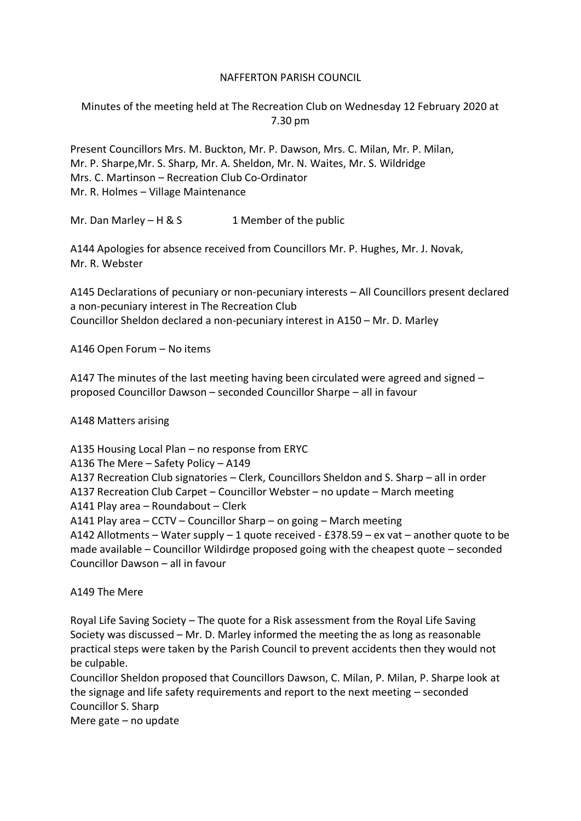#### NAFFERTON PARISH COUNCIL

Minutes of the meeting held at The Recreation Club on Wednesday 12 February 2020 at 7.30 pm

Present Councillors Mrs. M. Buckton, Mr. P. Dawson, Mrs. C. Milan, Mr. P. Milan, Mr. P. Sharpe,Mr. S. Sharp, Mr. A. Sheldon, Mr. N. Waites, Mr. S. Wildridge Mrs. C. Martinson – Recreation Club Co-Ordinator Mr. R. Holmes – Village Maintenance

Mr. Dan Marley – H & S  $\qquad 1$  Member of the public

A144 Apologies for absence received from Councillors Mr. P. Hughes, Mr. J. Novak, Mr. R. Webster

A145 Declarations of pecuniary or non-pecuniary interests – All Councillors present declared a non-pecuniary interest in The Recreation Club Councillor Sheldon declared a non-pecuniary interest in A150 – Mr. D. Marley

A146 Open Forum – No items

A147 The minutes of the last meeting having been circulated were agreed and signed – proposed Councillor Dawson – seconded Councillor Sharpe – all in favour

A148 Matters arising

A135 Housing Local Plan – no response from ERYC A136 The Mere – Safety Policy – A149 A137 Recreation Club signatories – Clerk, Councillors Sheldon and S. Sharp – all in order A137 Recreation Club Carpet – Councillor Webster – no update – March meeting A141 Play area – Roundabout – Clerk A141 Play area – CCTV – Councillor Sharp – on going – March meeting A142 Allotments – Water supply – 1 quote received - £378.59 – ex vat – another quote to be made available – Councillor Wildirdge proposed going with the cheapest quote – seconded Councillor Dawson – all in favour

A149 The Mere

Royal Life Saving Society – The quote for a Risk assessment from the Royal Life Saving Society was discussed – Mr. D. Marley informed the meeting the as long as reasonable practical steps were taken by the Parish Council to prevent accidents then they would not be culpable.

Councillor Sheldon proposed that Councillors Dawson, C. Milan, P. Milan, P. Sharpe look at the signage and life safety requirements and report to the next meeting – seconded Councillor S. Sharp

Mere gate – no update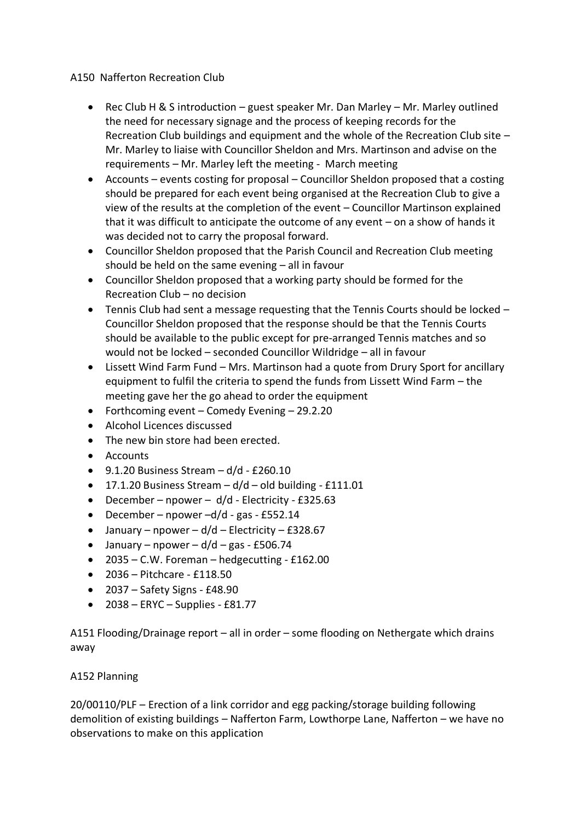### A150 Nafferton Recreation Club

- Rec Club H & S introduction guest speaker Mr. Dan Marley Mr. Marley outlined the need for necessary signage and the process of keeping records for the Recreation Club buildings and equipment and the whole of the Recreation Club site – Mr. Marley to liaise with Councillor Sheldon and Mrs. Martinson and advise on the requirements – Mr. Marley left the meeting - March meeting
- Accounts events costing for proposal Councillor Sheldon proposed that a costing should be prepared for each event being organised at the Recreation Club to give a view of the results at the completion of the event – Councillor Martinson explained that it was difficult to anticipate the outcome of any event – on a show of hands it was decided not to carry the proposal forward.
- Councillor Sheldon proposed that the Parish Council and Recreation Club meeting should be held on the same evening – all in favour
- Councillor Sheldon proposed that a working party should be formed for the Recreation Club – no decision
- Tennis Club had sent a message requesting that the Tennis Courts should be locked Councillor Sheldon proposed that the response should be that the Tennis Courts should be available to the public except for pre-arranged Tennis matches and so would not be locked – seconded Councillor Wildridge – all in favour
- Lissett Wind Farm Fund Mrs. Martinson had a quote from Drury Sport for ancillary equipment to fulfil the criteria to spend the funds from Lissett Wind Farm – the meeting gave her the go ahead to order the equipment
- Forthcoming event Comedy Evening 29.2.20
- Alcohol Licences discussed
- The new bin store had been erected.
- Accounts
- $\bullet$  9.1.20 Business Stream d/d £260.10
- 17.1.20 Business Stream  $-d/d$  old building £111.01
- December npower d/d Electricity £325.63
- December npower –d/d gas £552.14
- January npower  $d/d$  Electricity £328.67
- January npower  $d/d$  gas £506.74
- $\bullet$  2035 C.W. Foreman hedgecutting £162.00
- 2036 Pitchcare £118.50
- 2037 Safety Signs £48.90
- $\bullet$  2038 ERYC Supplies £81.77

A151 Flooding/Drainage report – all in order – some flooding on Nethergate which drains away

# A152 Planning

20/00110/PLF – Erection of a link corridor and egg packing/storage building following demolition of existing buildings – Nafferton Farm, Lowthorpe Lane, Nafferton – we have no observations to make on this application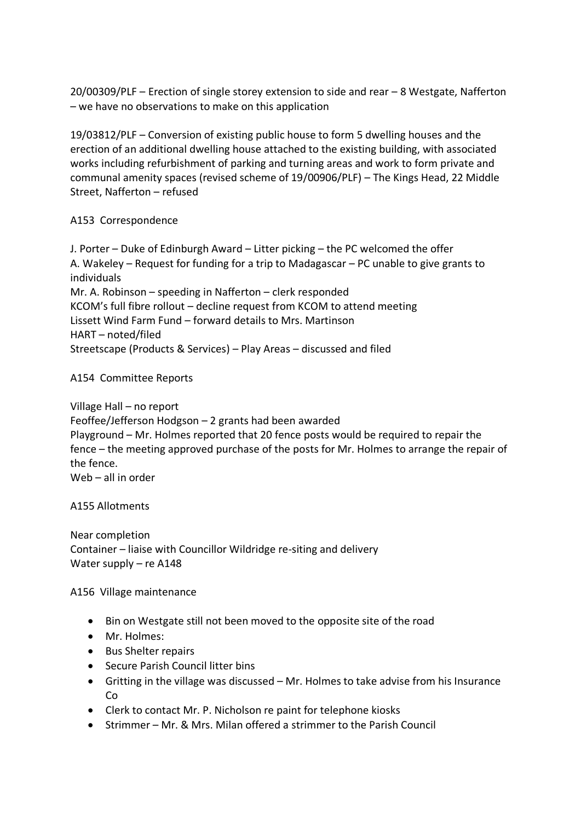20/00309/PLF – Erection of single storey extension to side and rear – 8 Westgate, Nafferton – we have no observations to make on this application

19/03812/PLF – Conversion of existing public house to form 5 dwelling houses and the erection of an additional dwelling house attached to the existing building, with associated works including refurbishment of parking and turning areas and work to form private and communal amenity spaces (revised scheme of 19/00906/PLF) – The Kings Head, 22 Middle Street, Nafferton – refused

### A153 Correspondence

J. Porter – Duke of Edinburgh Award – Litter picking – the PC welcomed the offer A. Wakeley – Request for funding for a trip to Madagascar – PC unable to give grants to individuals Mr. A. Robinson – speeding in Nafferton – clerk responded KCOM's full fibre rollout – decline request from KCOM to attend meeting Lissett Wind Farm Fund – forward details to Mrs. Martinson HART – noted/filed Streetscape (Products & Services) – Play Areas – discussed and filed

# A154 Committee Reports

Village Hall – no report

Feoffee/Jefferson Hodgson – 2 grants had been awarded Playground – Mr. Holmes reported that 20 fence posts would be required to repair the fence – the meeting approved purchase of the posts for Mr. Holmes to arrange the repair of the fence. Web – all in order

A155 Allotments

Near completion Container – liaise with Councillor Wildridge re-siting and delivery Water supply – re A148

A156 Village maintenance

- Bin on Westgate still not been moved to the opposite site of the road
- Mr. Holmes:
- Bus Shelter repairs
- Secure Parish Council litter bins
- Gritting in the village was discussed Mr. Holmes to take advise from his Insurance Co
- Clerk to contact Mr. P. Nicholson re paint for telephone kiosks
- Strimmer Mr. & Mrs. Milan offered a strimmer to the Parish Council